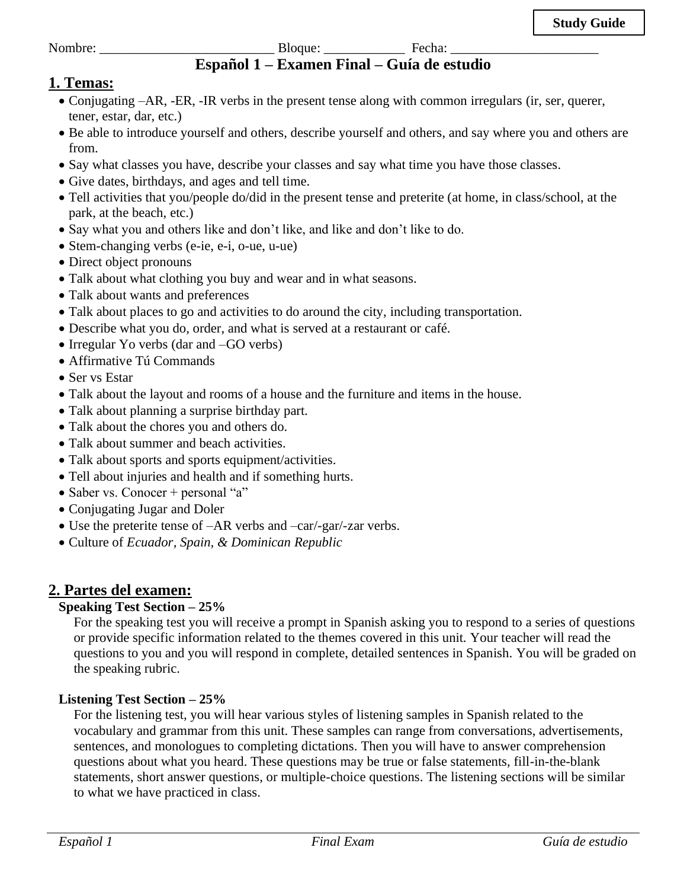# **Español 1 – Examen Final – Guía de estudio**

# **1. Temas:**

- Conjugating –AR, -ER, -IR verbs in the present tense along with common irregulars (ir, ser, querer, tener, estar, dar, etc.)
- Be able to introduce yourself and others, describe yourself and others, and say where you and others are from.
- Say what classes you have, describe your classes and say what time you have those classes.
- Give dates, birthdays, and ages and tell time.
- Tell activities that you/people do/did in the present tense and preterite (at home, in class/school, at the park, at the beach, etc.)
- Say what you and others like and don't like, and like and don't like to do.
- Stem-changing verbs (e-ie, e-i, o-ue, u-ue)
- Direct object pronouns
- Talk about what clothing you buy and wear and in what seasons.
- Talk about wants and preferences
- Talk about places to go and activities to do around the city, including transportation.
- Describe what you do, order, and what is served at a restaurant or café.
- Irregular Yo verbs (dar and –GO verbs)
- Affirmative Tú Commands
- Ser vs Estar
- Talk about the layout and rooms of a house and the furniture and items in the house.
- Talk about planning a surprise birthday part.
- Talk about the chores you and others do.
- Talk about summer and beach activities.
- Talk about sports and sports equipment/activities.
- Tell about injuries and health and if something hurts.
- Saber vs. Conocer + personal "a"
- Conjugating Jugar and Doler
- Use the preterite tense of –AR verbs and –car/-gar/-zar verbs.
- Culture of *Ecuador, Spain, & Dominican Republic*

# **2. Partes del examen:**

# **Speaking Test Section – 25%**

For the speaking test you will receive a prompt in Spanish asking you to respond to a series of questions or provide specific information related to the themes covered in this unit. Your teacher will read the questions to you and you will respond in complete, detailed sentences in Spanish. You will be graded on the speaking rubric.

# **Listening Test Section – 25%**

For the listening test, you will hear various styles of listening samples in Spanish related to the vocabulary and grammar from this unit. These samples can range from conversations, advertisements, sentences, and monologues to completing dictations. Then you will have to answer comprehension questions about what you heard. These questions may be true or false statements, fill-in-the-blank statements, short answer questions, or multiple-choice questions. The listening sections will be similar to what we have practiced in class.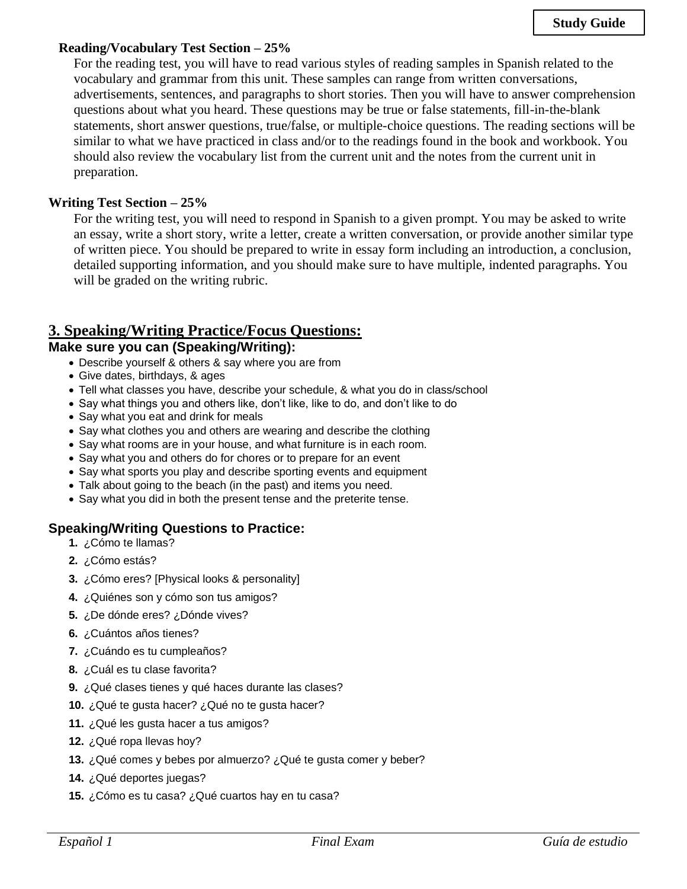#### **Reading/Vocabulary Test Section – 25%**

For the reading test, you will have to read various styles of reading samples in Spanish related to the vocabulary and grammar from this unit. These samples can range from written conversations, advertisements, sentences, and paragraphs to short stories. Then you will have to answer comprehension questions about what you heard. These questions may be true or false statements, fill-in-the-blank statements, short answer questions, true/false, or multiple-choice questions. The reading sections will be similar to what we have practiced in class and/or to the readings found in the book and workbook. You should also review the vocabulary list from the current unit and the notes from the current unit in preparation.

#### **Writing Test Section – 25%**

For the writing test, you will need to respond in Spanish to a given prompt. You may be asked to write an essay, write a short story, write a letter, create a written conversation, or provide another similar type of written piece. You should be prepared to write in essay form including an introduction, a conclusion, detailed supporting information, and you should make sure to have multiple, indented paragraphs. You will be graded on the writing rubric.

# **3. Speaking/Writing Practice/Focus Questions:**

#### **Make sure you can (Speaking/Writing):**

- Describe yourself & others & say where you are from
- Give dates, birthdays, & ages
- Tell what classes you have, describe your schedule, & what you do in class/school
- Say what things you and others like, don't like, like to do, and don't like to do
- Say what you eat and drink for meals
- Say what clothes you and others are wearing and describe the clothing
- Say what rooms are in your house, and what furniture is in each room.
- Say what you and others do for chores or to prepare for an event
- Say what sports you play and describe sporting events and equipment
- Talk about going to the beach (in the past) and items you need.
- Say what you did in both the present tense and the preterite tense.

### **Speaking/Writing Questions to Practice:**

- **1.** ¿Cómo te llamas?
- **2.** ¿Cómo estás?
- **3.** ¿Cómo eres? [Physical looks & personality]
- **4.** ¿Quiénes son y cómo son tus amigos?
- **5.** ¿De dónde eres? ¿Dónde vives?
- **6.** ¿Cuántos años tienes?
- **7.** ¿Cuándo es tu cumpleaños?
- **8.** ¿Cuál es tu clase favorita?
- **9.** ¿Qué clases tienes y qué haces durante las clases?
- **10.** ¿Qué te gusta hacer? ¿Qué no te gusta hacer?
- **11.** ¿Qué les gusta hacer a tus amigos?
- **12.** ¿Qué ropa llevas hoy?
- **13.** ¿Qué comes y bebes por almuerzo? ¿Qué te gusta comer y beber?
- **14.** ¿Qué deportes juegas?
- **15.** ¿Cómo es tu casa? ¿Qué cuartos hay en tu casa?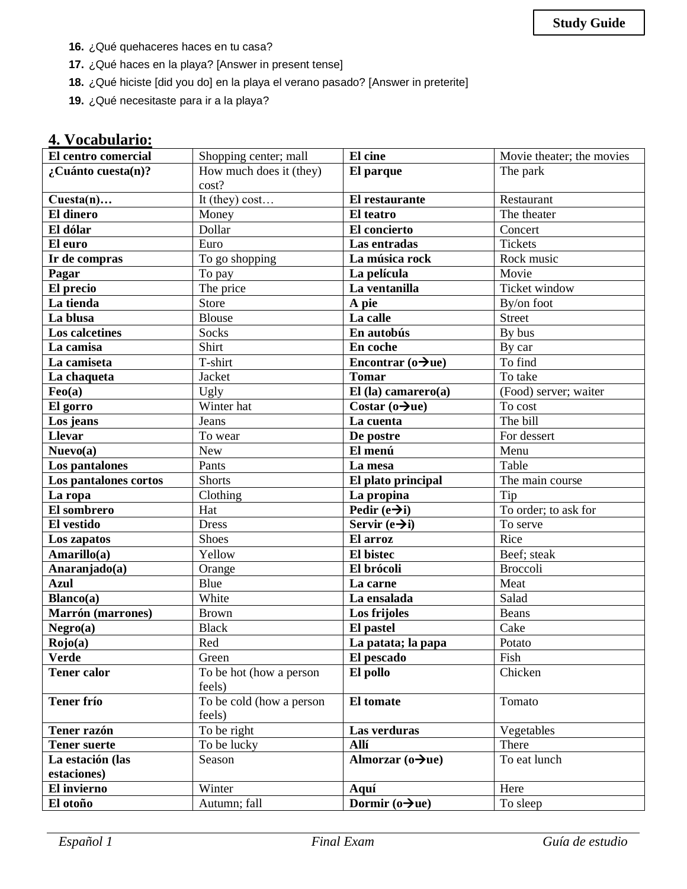- **16.** ¿Qué quehaceres haces en tu casa?
- **17.** ¿Qué haces en la playa? [Answer in present tense]
- **18.** ¿Qué hiciste [did you do] en la playa el verano pasado? [Answer in preterite]
- **19.** ¿Qué necesitaste para ir a la playa?

# **4. Vocabulario:**

| El centro comercial       | Shopping center; mall    | El cine                       | Movie theater; the movies |
|---------------------------|--------------------------|-------------------------------|---------------------------|
| $:$ Cuánto cuesta $(n)$ ? | How much does it (they)  | El parque                     | The park                  |
|                           | cost?                    |                               |                           |
| $Cuesta(n) \dots$         | It (they) cost           | El restaurante                | Restaurant                |
| <b>El dinero</b>          | Money                    | El teatro                     | The theater               |
| El dólar                  | Dollar                   | El concierto                  | Concert                   |
| El euro                   | Euro                     | Las entradas                  | <b>Tickets</b>            |
| Ir de compras             | To go shopping           | La música rock                | Rock music                |
| Pagar                     | To pay                   | La película                   | Movie                     |
| El precio                 | The price                | La ventanilla                 | Ticket window             |
| La tienda                 | <b>Store</b>             | A pie                         | By/on foot                |
| La blusa                  | <b>Blouse</b>            | La calle                      | <b>Street</b>             |
| Los calcetines            | Socks                    | En autobús                    | By bus                    |
| La camisa                 | Shirt                    | En coche                      | By car                    |
| La camiseta               | T-shirt                  | Encontrar $(o\rightarrow ue)$ | To find                   |
| La chaqueta               | Jacket                   | <b>Tomar</b>                  | To take                   |
| Feo(a)                    | Ugly                     | El (la) camarero(a)           | (Food) server; waiter     |
| El gorro                  | Winter hat               | Costar $(o\rightarrow u$ e)   | To cost                   |
| Los jeans                 | Jeans                    | La cuenta                     | The bill                  |
| <b>Llevar</b>             | To wear                  | De postre                     | For dessert               |
| Nueva(a)                  | <b>New</b>               | El menú                       | Menu                      |
| Los pantalones            | Pants                    | La mesa                       | Table                     |
| Los pantalones cortos     | <b>Shorts</b>            | El plato principal            | The main course           |
| La ropa                   | Clothing                 | La propina                    | Tip                       |
| El sombrero               | Hat                      | Pedir $(e \rightarrow i)$     | To order; to ask for      |
| El vestido                | <b>Dress</b>             | Servir $(e\rightarrow i)$     | To serve                  |
| Los zapatos               | <b>Shoes</b>             | El arroz                      | Rice                      |
| Amarillo(a)               | Yellow                   | El bistec                     | Beef; steak               |
| Anaranjado(a)             | Orange                   | El brócoli                    | <b>Broccoli</b>           |
| <b>Azul</b>               | Blue                     | La carne                      | Meat                      |
| Blanco(a)                 | White                    | La ensalada                   | Salad                     |
| <b>Marrón</b> (marrones)  | <b>Brown</b>             | Los frijoles                  | Beans                     |
| Negro(a)                  | <b>Black</b>             | El pastel                     | Cake                      |
| Rojo(a)                   | Red                      | La patata; la papa            | Potato                    |
| Verde                     | Green                    | El pescado                    | Fish                      |
| <b>Tener calor</b>        | To be hot (how a person  | El pollo                      | Chicken                   |
|                           | feels)                   |                               |                           |
| <b>Tener frío</b>         | To be cold (how a person | El tomate                     | Tomato                    |
|                           | feels)                   |                               |                           |
| Tener razón               | To be right              | Las verduras                  | Vegetables                |
| <b>Tener suerte</b>       | To be lucky              | Allí                          | There                     |
| La estación (las          | Season                   | Almorzar ( $o\rightarrow$ ue) | To eat lunch              |
| estaciones)               |                          |                               |                           |
| El invierno               | Winter                   | Aquí                          | Here                      |
| El otoño                  | Autumn; fall             | Dormir $(o\rightarrow u$ e)   | To sleep                  |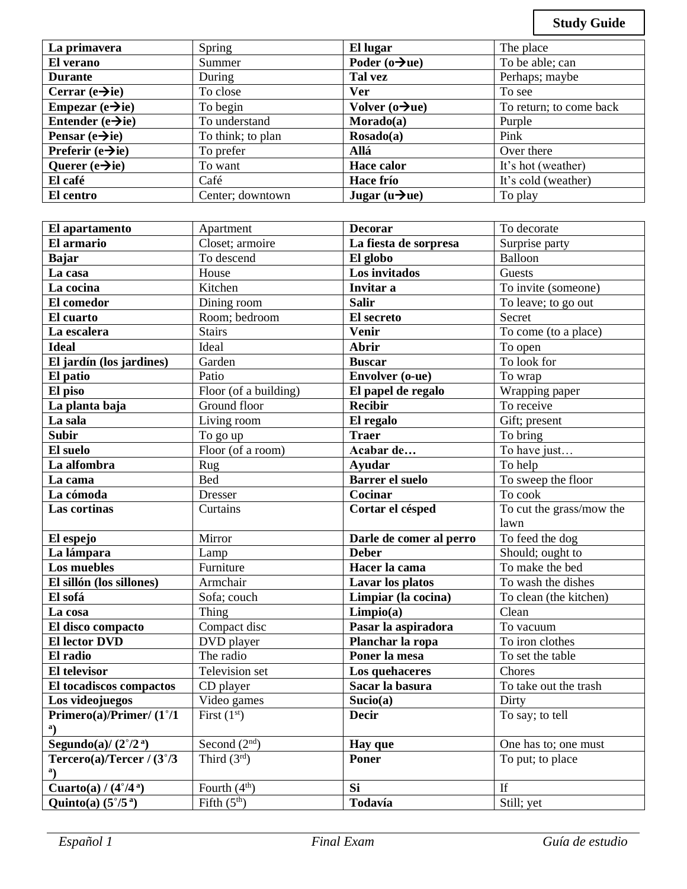**Study Guide**

| La primavera                          | <b>Spring</b>     | El lugar                    | The place               |
|---------------------------------------|-------------------|-----------------------------|-------------------------|
| El verano                             | Summer            | Poder $(o\rightarrow)$ ue)  | To be able; can         |
| <b>Durante</b>                        | During            | Tal vez                     | Perhaps; maybe          |
| Cerrar ( $e\rightarrow ie$ )          | To close          | <b>Ver</b>                  | To see                  |
| Empezar $(e \rightarrow ie)$          | To begin          | Volver $(o\rightarrow u$ e) | To return; to come back |
| Entender $(e \rightarrow ie)$         | To understand     | Morado(a)                   | Purple                  |
| Pensar $(e \rightarrow ie)$           | To think; to plan | Rosado(a)                   | Pink                    |
| <b>Preferir</b> ( $e\rightarrow ie$ ) | To prefer         | Allá                        | Over there              |
| Querer $(e \rightarrow ie)$           | To want           | <b>Hace calor</b>           | It's hot (weather)      |
| El café                               | Café              | Hace frío                   | It's cold (weather)     |
| El centro                             | Center; downtown  | Jugar $(u \rightarrow u e)$ | To play                 |

| El apartamento                      | Apartment             | <b>Decorar</b>          | To decorate                                                                           |
|-------------------------------------|-----------------------|-------------------------|---------------------------------------------------------------------------------------|
| El armario                          | Closet; armoire       | La fiesta de sorpresa   | Surprise party                                                                        |
| <b>Bajar</b>                        | To descend            | El globo                | Balloon                                                                               |
| La casa                             | House                 | Los invitados           | Guests                                                                                |
| La cocina                           | Kitchen               | Invitar a               | To invite (someone)                                                                   |
| El comedor                          | Dining room           | <b>Salir</b>            | To leave; to go out                                                                   |
| El cuarto                           | Room; bedroom         | El secreto              | Secret                                                                                |
| La escalera                         | <b>Stairs</b>         | <b>Venir</b>            | To come (to a place)                                                                  |
| <b>Ideal</b>                        | Ideal                 | <b>Abrir</b>            | To open                                                                               |
| El jardín (los jardines)            | Garden                | <b>Buscar</b>           | To look for                                                                           |
| El patio                            | Patio                 | Envolver (o-ue)         | To wrap                                                                               |
| El piso                             | Floor (of a building) | El papel de regalo      | Wrapping paper                                                                        |
| La planta baja                      | Ground floor          | <b>Recibir</b>          | To receive                                                                            |
| La sala                             | Living room           | El regalo               | Gift; present                                                                         |
| <b>Subir</b>                        | To go up              | <b>Traer</b>            | To bring                                                                              |
| El suelo                            | Floor (of a room)     | Acabar de               | To have just                                                                          |
| La alfombra                         | Rug                   | <b>Ayudar</b>           | To help                                                                               |
| La cama                             | <b>Bed</b>            | <b>Barrer el suelo</b>  | To sweep the floor                                                                    |
| La cómoda                           | <b>Dresser</b>        | Cocinar                 | To cook                                                                               |
| Las cortinas                        | Curtains              | Cortar el césped        | To cut the grass/mow the                                                              |
|                                     |                       |                         | lawn                                                                                  |
| El espejo                           | Mirror                | Darle de comer al perro | To feed the dog                                                                       |
| La lámpara                          | Lamp                  | <b>Deber</b>            | Should; ought to                                                                      |
| Los muebles                         | Furniture             | Hacer la cama           | To make the bed                                                                       |
| El sillón (los sillones)            | Armchair              | Lavar los platos        | To wash the dishes                                                                    |
| El sofá                             | Sofa; couch           | Limpiar (la cocina)     | To clean (the kitchen)                                                                |
| La cosa                             | Thing                 | Limpio(a)               | Clean                                                                                 |
| El disco compacto                   | Compact disc          | Pasar la aspiradora     | To vacuum                                                                             |
| <b>El lector DVD</b>                | DVD player            | Planchar la ropa        | To iron clothes                                                                       |
| El radio                            | The radio             | Poner la mesa           | To set the table                                                                      |
| <b>El televisor</b>                 | Television set        | Los quehaceres          | Chores                                                                                |
| El tocadiscos compactos             | CD player             | Sacar la basura         | To take out the trash                                                                 |
| Los videojuegos                     | Video games           | Sucio(a)                | Dirty                                                                                 |
| Primero(a)/Primer/ $(1^{\circ}/1)$  | First $(1st)$         | <b>Decir</b>            | To say; to tell                                                                       |
| a)                                  |                       |                         |                                                                                       |
| Segundo(a)/ $(2^{\circ}/2^{\circ})$ | Second $(2nd)$        | <b>Hay</b> que          | One has to; one must                                                                  |
| Tercero(a)/Tercer / $(3^{\circ}/3)$ | Third $(3rd)$         | Poner                   | To put; to place                                                                      |
| <sup>a</sup> )                      |                       |                         |                                                                                       |
| Cuarto(a) / $(4^{\circ}/4^{\circ})$ | Fourth $(4th)$        | Si                      | $\mathbf{If}% =\mathbf{1}_{\mathbf{1}}\mathbf{1}_{\mathbf{2}}\mathbf{1}_{\mathbf{3}}$ |
| Quinto(a) $(5^{\circ}/5^{\circ})$   | Fifth $(5th)$         | Todavía                 | Still; yet                                                                            |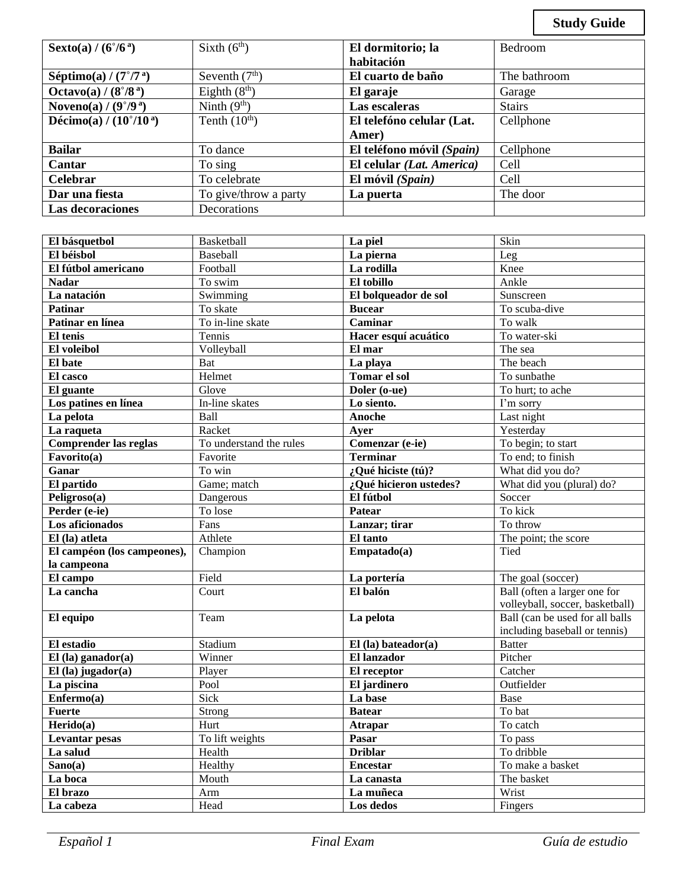| <b>Sexto(a)</b> / $(6^{\circ}/6^{\circ})$  | Sixth $(6th)$         | El dormitorio; la         | Bedroom       |
|--------------------------------------------|-----------------------|---------------------------|---------------|
|                                            |                       | habitación                |               |
| Séptimo(a) / $(7^{\circ}/7^{\circ})$       | Seventh $(7th)$       | El cuarto de baño         | The bathroom  |
| Octavo(a) / $(8^{\circ}/8^{\circ})$        | Eighth $(8th)$        | El garaje                 | Garage        |
| <b>Noveno(a)</b> / $(9^{\circ}/9^{\circ})$ | Ninth $(9th)$         | Las escaleras             | <b>Stairs</b> |
| Décimo(a) / $(10^{\circ}/10^{\circ})$      | Tenth $(10th)$        | El telefóno celular (Lat. | Cellphone     |
|                                            |                       | Amer)                     |               |
| <b>Bailar</b>                              | To dance              | El teléfono móvil (Spain) | Cellphone     |
| Cantar                                     | To sing               | El celular (Lat. America) | Cell          |
| <b>Celebrar</b>                            | To celebrate          | El móvil (Spain)          | Cell          |
| Dar una fiesta                             | To give/throw a party | La puerta                 | The door      |
| <b>Las decoraciones</b>                    | Decorations           |                           |               |

| El básquetbol                | Basketball              | La piel                         | Skin                            |
|------------------------------|-------------------------|---------------------------------|---------------------------------|
| El béisbol                   | Baseball                | La pierna                       | Leg                             |
| El fútbol americano          | Football                | La rodilla                      | Knee                            |
| <b>Nadar</b>                 | To swim                 | El tobillo                      | Ankle                           |
| La natación                  | Swimming                | El bolqueador de sol            | Sunscreen                       |
| <b>Patinar</b>               | To skate                | <b>Bucear</b>                   | To scuba-dive                   |
| Patinar en línea             | To in-line skate        | Caminar                         | To walk                         |
| El tenis                     | Tennis                  | Hacer esquí acuático            | To water-ski                    |
| El voleibol                  | Volleyball              | El mar                          | The sea                         |
| El bate                      | Bat                     | La playa                        | The beach                       |
| El casco                     | Helmet                  | <b>Tomar el sol</b>             | To sunbathe                     |
| El guante                    | Glove                   | Doler (o-ue)                    | To hurt; to ache                |
| Los patines en línea         | In-line skates          | Lo siento.                      | I'm sorry                       |
| La pelota                    | Ball                    | Anoche                          | Last night                      |
| La raqueta                   | Racket                  | Ayer                            | Yesterday                       |
| <b>Comprender las reglas</b> | To understand the rules | Comenzar (e-ie)                 | To begin; to start              |
| $\text{Favorito}(a)$         | Favorite                | <b>Terminar</b>                 | To end; to finish               |
| Ganar                        | To win                  | ¿Qué hiciste (tú)?              | What did you do?                |
| El partido                   | Game; match             | ¿Qué hicieron ustedes?          | What did you (plural) do?       |
| Peligroso(a)                 | Dangerous               | El fútbol                       | Soccer                          |
| Perder (e-ie)                | To lose                 | Patear                          | To kick                         |
| Los aficionados              | Fans                    | Lanzar; tirar                   | To throw                        |
| El (la) atleta               | Athlete                 | El tanto                        | The point; the score            |
| El campéon (los campeones),  | Champion                | $\overline{\text{Empatado}}(a)$ | Tied                            |
| la campeona                  |                         |                                 |                                 |
| El campo                     | Field                   | La portería                     | The goal (soccer)               |
| La cancha                    | Court                   | El balón                        | Ball (often a larger one for    |
|                              |                         |                                 | volleyball, soccer, basketball) |
| El equipo                    | Team                    | La pelota                       | Ball (can be used for all balls |
|                              |                         |                                 | including baseball or tennis)   |
| El estadio                   | Stadium                 | $El$ (la) bateador(a)           | <b>Batter</b>                   |
| $El$ (la) ganador(a)         | Winner                  | El lanzador                     | Pitcher                         |
| $El$ (la) jugador(a)         | Player                  | El receptor                     | Catcher                         |
| La piscina                   | Pool                    | El jardinero                    | Outfielder                      |
| Enfermo(a)                   | Sick                    | La base                         | Base                            |
| <b>Fuerte</b>                | Strong                  | <b>Batear</b>                   | To bat                          |
| Herido(a)                    | Hurt                    | <b>Atrapar</b>                  | To catch                        |
| Levantar pesas               | To lift weights         | Pasar                           | To pass                         |
| La salud                     | Health                  | <b>Driblar</b>                  | To dribble                      |
| Sano(a)                      | Healthy                 | <b>Encestar</b>                 | To make a basket                |
| La boca                      | Mouth                   | La canasta                      | The basket                      |
| El brazo                     | Arm                     | La muñeca                       | Wrist                           |
| La cabeza                    | Head                    | Los dedos                       | Fingers                         |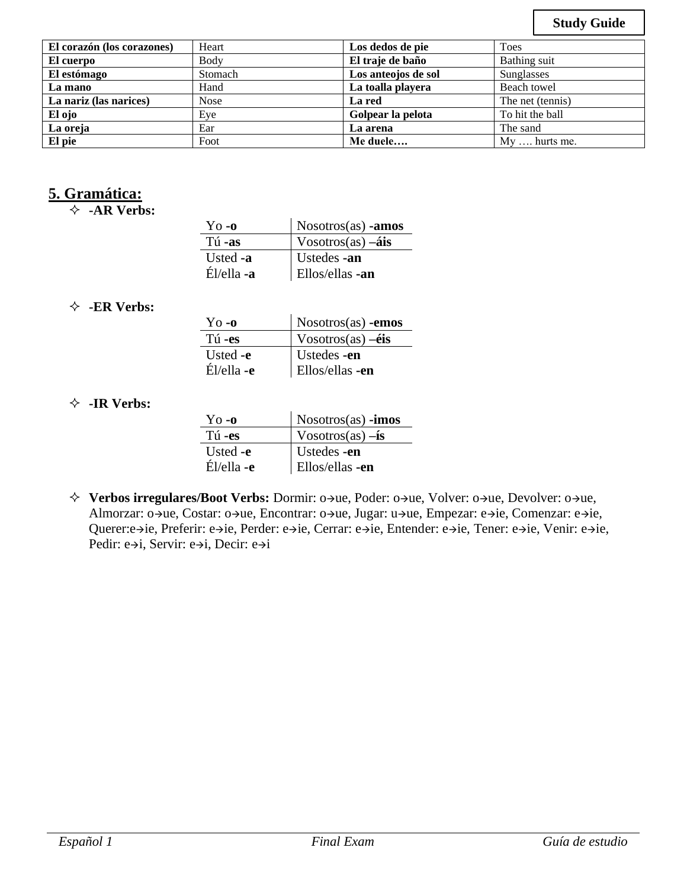**Study Guide**

| El corazón (los corazones) | Heart       | Los dedos de pie    | Toes             |
|----------------------------|-------------|---------------------|------------------|
| El cuerpo                  | <b>Body</b> | El traje de baño    | Bathing suit     |
| El estómago                | Stomach     | Los anteojos de sol | Sunglasses       |
| La mano                    | Hand        | La toalla playera   | Beach towel      |
| La nariz (las narices)     | <b>Nose</b> | La red              | The net (tennis) |
| El ojo                     | Eye         | Golpear la pelota   | To hit the ball  |
| La oreja                   | Ear         | La arena            | The sand         |
| El pie                     | Foot        | Me duele            | $Mv$ , hurts me. |

# **5. Gramática:**

**-AR Verbs:**

| Yo -o     | $\log_{10}(as)$ -amos         |
|-----------|-------------------------------|
| Tú -as    | $V$ osotros(as) $-\hat{a}$ is |
| Usted -a  | Ustedes -an                   |
| Él/ella-a | Ellos/ellas -an               |

### **-ER Verbs:**

| Yo -o      | $\log\frac{1}{10}$ Nosotros(as) -emos |
|------------|---------------------------------------|
| Tú -es     | Vosotros(as) $-\acute{e}$ is          |
| Usted -e   | Ustedes -en                           |
| Él/ella -e | Ellos/ellas -en                       |

# **-IR Verbs:**

| Yo -o         | Nosotros(as) -imos             |
|---------------|--------------------------------|
| Tú-es         | $V$ osotros(as) $-\mathbf{is}$ |
| Usted -e      | Ustedes -en                    |
| $E1/e$ lla -e | Ellos/ellas -en                |

 **Verbos irregulares/Boot Verbs:** Dormir: o→ue, Poder: o→ue, Volver: o→ue, Devolver: o→ue, Almorzar: o→ue, Costar: o→ue, Encontrar: o→ue, Jugar: u→ue, Empezar: e→ie, Comenzar: e→ie, Querer:e→ie, Preferir: e→ie, Perder: e→ie, Cerrar: e→ie, Entender: e→ie, Tener: e→ie, Venir: e→ie, Pedir: e→i, Servir: e→i, Decir: e→i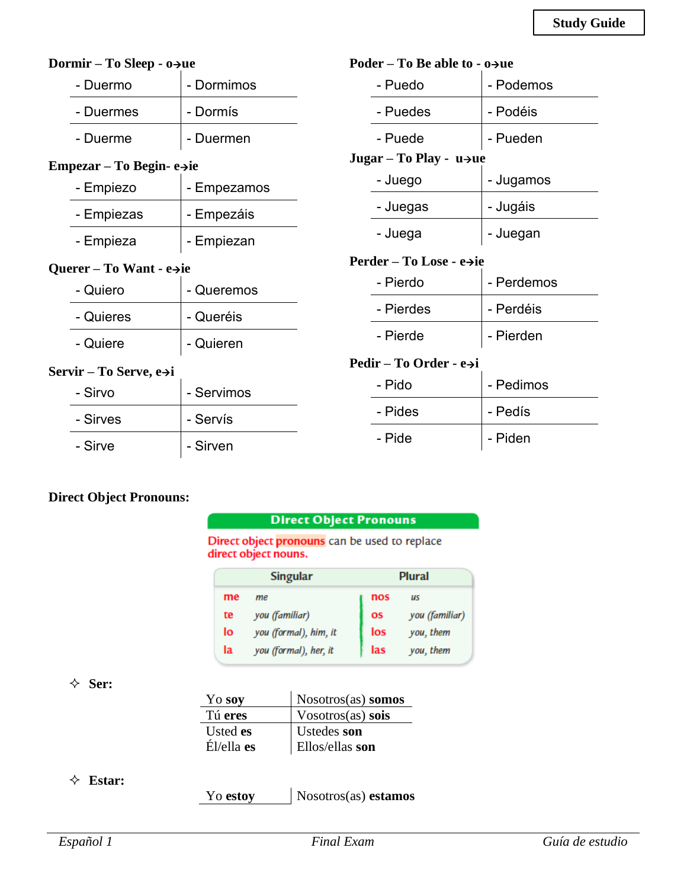# **Dormir – To Sleep - o**→**ue**

| - Duermo  | - Dormimos |
|-----------|------------|
| - Duermes | - Dormís   |
| - Duerme  | - Duermen  |

# **Empezar – To Begin- e**→**ie**

| - Empiezo  | - Empezamos |
|------------|-------------|
| - Empiezas | - Empezáis  |
| - Empieza  | - Empiezan  |

# **Querer – To Want - e**→**ie**

| - Quiero  | - Queremos |
|-----------|------------|
| - Quieres | - Queréis  |
| - Quiere  | - Quieren  |

# **Servir – To Serve, e**→**i**

| - Sirvo  | - Servimos |  |
|----------|------------|--|
| - Sirves | - Servís   |  |
| - Sirve  | - Sirven   |  |

### **Poder – To Be able to - o**→**ue**

|                        | - Puedo  | - Podemos |
|------------------------|----------|-----------|
|                        | - Puedes | - Podéis  |
|                        | - Puede  | - Pueden  |
| Jugar – To Play - u→ue |          |           |
|                        | - Juego  | - Jugamos |
|                        | - Juegas | - Jugáis  |
|                        | - Juega  | - Juegan  |
|                        |          |           |

# **Perder – To Lose - e**→**ie**

| - Pierdo  | - Perdemos |
|-----------|------------|
| - Pierdes | - Perdéis  |
| - Pierde  | - Pierden  |

# **Pedir – To Order - e**→**i**

| - Pido  | - Pedimos |
|---------|-----------|
| - Pides | - Pedís   |
| - Pide  | - Piden   |

# **Direct Object Pronouns:**

### **Direct Object Pronouns**

Direct object pronouns can be used to replace direct object nouns.

| <b>Singular</b> |                       |           | <b>Plural</b>  |  |  |
|-----------------|-----------------------|-----------|----------------|--|--|
| me              | mе                    | nos       | us             |  |  |
| te              | you (familiar)        | <b>OS</b> | you (familiar) |  |  |
| lo              | you (formal), him, it | los       | you, them      |  |  |
| la              | you (formal), her, it | las       | you, them      |  |  |

#### **Ser:**

| Yo soy      | $N$ osotros $(as)$ somos |
|-------------|--------------------------|
| Tú eres     | $V$ osotros $(as)$ sois  |
| Usted es    | Ustedes son              |
| $E1/e1a$ es | Ellos/ellas son          |

**Estar:**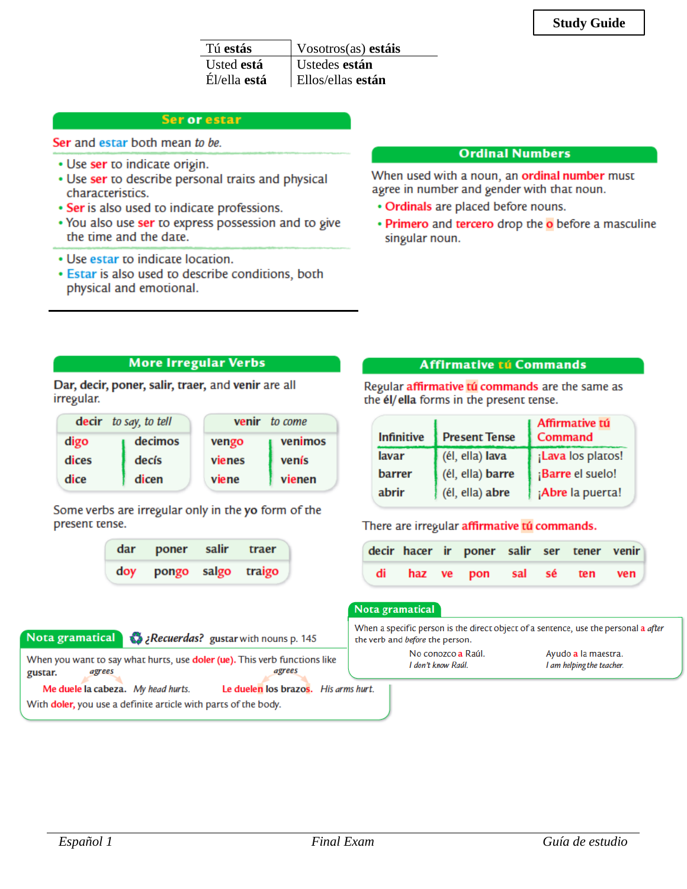| Tú estás     | Vosotros(as) estáis |
|--------------|---------------------|
| Usted está   | Ustedes están       |
| Él/ella está | Ellos/ellas están   |

#### Ser or estar

Ser and estar both mean to be.

- Use ser to indicate origin.
- Use ser to describe personal traits and physical characteristics.
- Ser is also used to indicate professions.
- . You also use ser to express possession and to give the time and the date.
- Use estar to indicate location.
- Estar is also used to describe conditions, both physical and emotional.

#### **Ordinal Numbers**

When used with a noun, an ordinal number must agree in number and gender with that noun.

- Ordinals are placed before nouns.
- Primero and tercero drop the o before a masculine singular noun.

#### **More Irregular Verbs**

Dar, decir, poner, salir, traer, and venir are all irregular.

| decir to say, to tell |         | venir to come |         |  |
|-----------------------|---------|---------------|---------|--|
| digo                  | decimos | vengo         | venimos |  |
| dices                 | decís   | vienes        | venís   |  |
| dicen<br>dice         |         | viene         | vienen  |  |

Some verbs are irregular only in the yo form of the present tense.

| dar poner salir traer  |  |  |
|------------------------|--|--|
| doy pongo salgo traigo |  |  |

# **Affirmative tú Commands**

Regular affirmative tú commands are the same as the él/ella forms in the present tense.

| <b>Infinitive</b> | <b>Present Tense</b> | Affirmative tú<br>Command |  |
|-------------------|----------------------|---------------------------|--|
| lavar             | (él, ella) lava      | ¡Lava los platos!         |  |
| <b>barrer</b>     | (él, ella) barre     | ¡Barre el suelo!          |  |
| abrir             | (él, ella) abre      | ¡Abre la puerta!          |  |

There are irregular affirmative tú commands.

|  | decir hacer ir poner salir ser tener venir |  |  |
|--|--------------------------------------------|--|--|
|  | di haz ve pon sal sé ten ven               |  |  |

| Nota gramatical |  |
|-----------------|--|
|                 |  |

| Recuerdas? gustar with nouns p. 145                                                                                                          | When a specific person is the direct object of a sentence, use the personal a after<br>the verb and before the person. |
|----------------------------------------------------------------------------------------------------------------------------------------------|------------------------------------------------------------------------------------------------------------------------|
| When you want to say what hurts, use <b>doler (ue).</b> This verb functions like<br>agrees<br>agrees<br>gustar.                              | No conozco a Raúl.<br>Ayudo a la maestra.<br>I am helping the teacher.<br>I don't know Raúl.                           |
| Le duelen los brazos. His arms hurt.<br>Me duele la cabeza. My head hurts.<br>With doler, you use a definite article with parts of the body. |                                                                                                                        |
|                                                                                                                                              |                                                                                                                        |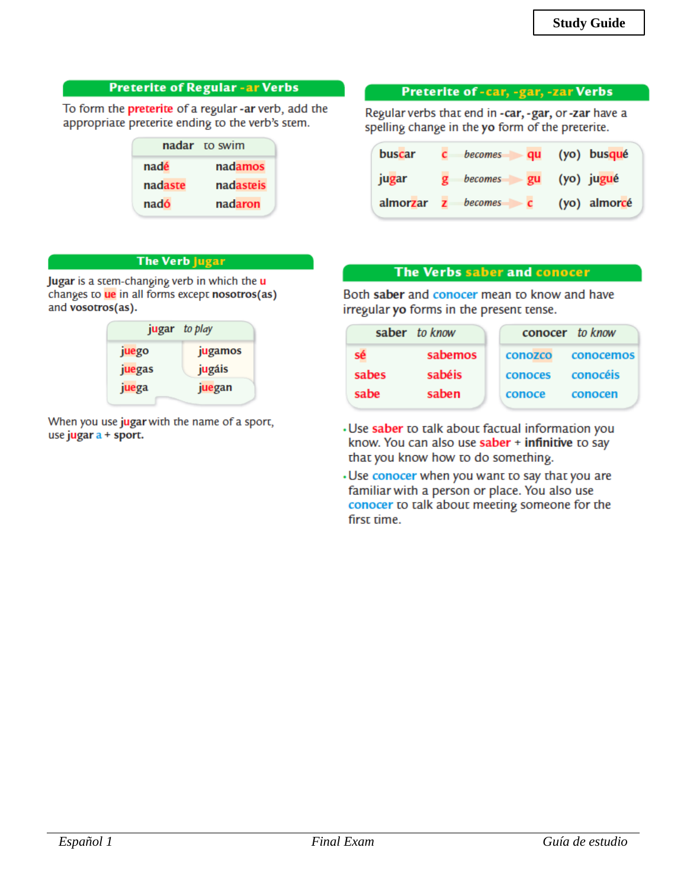### **Preterite of Regular - ar Verbs**

To form the **preterite** of a regular -ar verb, add the appropriate preterite ending to the verb's stem.

|         | nadar to swim |  |
|---------|---------------|--|
| nadé    | nadamos       |  |
| nadaste | nadasteis     |  |
| nadó    | nadaron       |  |

#### **The Verb jugar**

Jugar is a stem-changing verb in which the u changes to ue in all forms except nosotros(as) and vosotros(as).

|        | jugar to play |
|--------|---------------|
| juego  | jugamos       |
| juegas | jugáis        |
| juega  | juegan        |
|        |               |

When you use jugar with the name of a sport, use jugar a + sport.

### Preterite of -car, -gar, -zar Verbs

Regular verbs that end in -car, -gar, or -zar have a spelling change in the yo form of the preterite.

| buscar | becomes<br>$\sim$ qu<br>$\epsilon$           | (yo) busqué  |
|--------|----------------------------------------------|--------------|
| jugar  | $g$ becomes<br>$g$ $\mathbf{g}$ $\mathbf{u}$ | (yo) jugué   |
|        | almorzar z becomes<br>$\sim c$               | (yo) almorcé |

#### The Verbs saber and conocer

Both saber and conocer mean to know and have irregular yo forms in the present tense.

|       | saber to know |         | conocer to know |
|-------|---------------|---------|-----------------|
| sé    | sabemos       | conozco | conocemos       |
| sabes | sabéis        | conoces | conocéis        |
| sabe  | saben         | conoce  | conocen         |

- · Use saber to talk about factual information you know. You can also use saber + infinitive to say that you know how to do something.
- · Use conocer when you want to say that you are familiar with a person or place. You also use conocer to talk about meeting someone for the first time.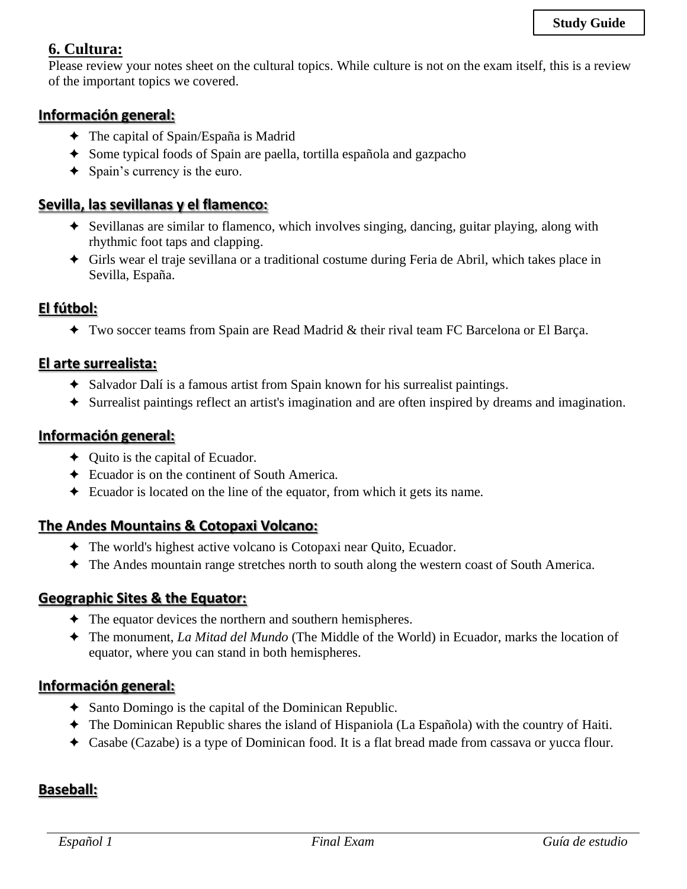# **6. Cultura:**

Please review your notes sheet on the cultural topics. While culture is not on the exam itself, this is a review of the important topics we covered.

# **Información general:**

- ✦ The capital of Spain/España is Madrid
- ✦ Some typical foods of Spain are paella, tortilla española and gazpacho
- $\triangleleft$  Spain's currency is the euro.

# **Sevilla, las sevillanas y el flamenco:**

- ✦ Sevillanas are similar to flamenco, which involves singing, dancing, guitar playing, along with rhythmic foot taps and clapping.
- ✦ Girls wear el traje sevillana or a traditional costume during Feria de Abril, which takes place in Sevilla, España.

# **El fútbol:**

✦ Two soccer teams from Spain are Read Madrid & their rival team FC Barcelona or El Barça.

# **El arte surrealista:**

- ✦ Salvador Dalí is a famous artist from Spain known for his surrealist paintings.
- ✦ Surrealist paintings reflect an artist's imagination and are often inspired by dreams and imagination.

### **Información general:**

- ✦ Quito is the capital of Ecuador.
- ✦ Ecuador is on the continent of South America.
- ✦ Ecuador is located on the line of the equator, from which it gets its name.

# **The Andes Mountains & Cotopaxi Volcano:**

- ✦ The world's highest active volcano is Cotopaxi near Quito, Ecuador.
- ✦ The Andes mountain range stretches north to south along the western coast of South America.

### **Geographic Sites & the Equator:**

- $\triangle$  The equator devices the northern and southern hemispheres.
- ✦ The monument, *La Mitad del Mundo* (The Middle of the World) in Ecuador, marks the location of equator, where you can stand in both hemispheres.

# **Información general:**

- ✦ Santo Domingo is the capital of the Dominican Republic.
- ✦ The Dominican Republic shares the island of Hispaniola (La Española) with the country of Haiti.
- ✦ Casabe (Cazabe) is a type of Dominican food. It is a flat bread made from cassava or yucca flour.

# **Baseball:**